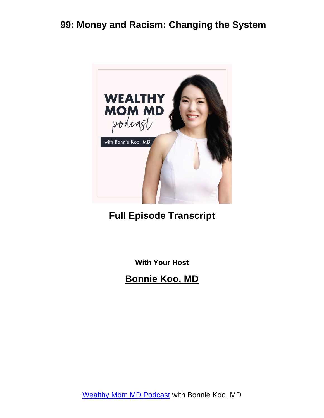

#### **Full Episode Transcript**

**With Your Host**

**Bonnie Koo, MD**

[Wealthy Mom MD Podcast](https://wealthymommd.com/podcast/) with Bonnie Koo, MD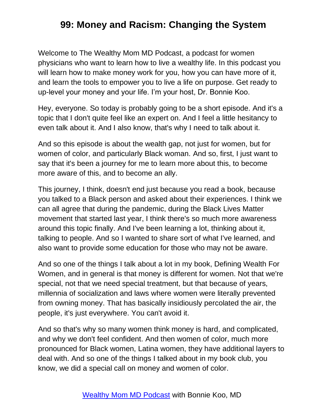Welcome to The Wealthy Mom MD Podcast, a podcast for women physicians who want to learn how to live a wealthy life. In this podcast you will learn how to make money work for you, how you can have more of it, and learn the tools to empower you to live a life on purpose. Get ready to up-level your money and your life. I'm your host, Dr. Bonnie Koo.

Hey, everyone. So today is probably going to be a short episode. And it's a topic that I don't quite feel like an expert on. And I feel a little hesitancy to even talk about it. And I also know, that's why I need to talk about it.

And so this episode is about the wealth gap, not just for women, but for women of color, and particularly Black woman. And so, first, I just want to say that it's been a journey for me to learn more about this, to become more aware of this, and to become an ally.

This journey, I think, doesn't end just because you read a book, because you talked to a Black person and asked about their experiences. I think we can all agree that during the pandemic, during the Black Lives Matter movement that started last year, I think there's so much more awareness around this topic finally. And I've been learning a lot, thinking about it, talking to people. And so I wanted to share sort of what I've learned, and also want to provide some education for those who may not be aware.

And so one of the things I talk about a lot in my book, Defining Wealth For Women, and in general is that money is different for women. Not that we're special, not that we need special treatment, but that because of years, millennia of socialization and laws where women were literally prevented from owning money. That has basically insidiously percolated the air, the people, it's just everywhere. You can't avoid it.

And so that's why so many women think money is hard, and complicated, and why we don't feel confident. And then women of color, much more pronounced for Black women, Latina women, they have additional layers to deal with. And so one of the things I talked about in my book club, you know, we did a special call on money and women of color.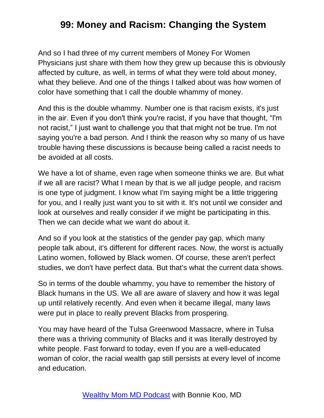And so I had three of my current members of Money For Women Physicians just share with them how they grew up because this is obviously affected by culture, as well, in terms of what they were told about money, what they believe. And one of the things I talked about was how women of color have something that I call the double whammy of money.

And this is the double whammy. Number one is that racism exists, it's just in the air. Even if you don't think you're racist, if you have that thought, "I'm not racist," I just want to challenge you that that might not be true. I'm not saying you're a bad person. And I think the reason why so many of us have trouble having these discussions is because being called a racist needs to be avoided at all costs.

We have a lot of shame, even rage when someone thinks we are. But what if we all are racist? What I mean by that is we all judge people, and racism is one type of judgment. I know what I'm saying might be a little triggering for you, and I really just want you to sit with it. It's not until we consider and look at ourselves and really consider if we might be participating in this. Then we can decide what we want do about it.

And so if you look at the statistics of the gender pay gap, which many people talk about, it's different for different races. Now, the worst is actually Latino women, followed by Black women. Of course, these aren't perfect studies, we don't have perfect data. But that's what the current data shows.

So in terms of the double whammy, you have to remember the history of Black humans in the US. We all are aware of slavery and how it was legal up until relatively recently. And even when it became illegal, many laws were put in place to really prevent Blacks from prospering.

You may have heard of the Tulsa Greenwood Massacre, where in Tulsa there was a thriving community of Blacks and it was literally destroyed by white people. Fast forward to today, even If you are a well-educated woman of color, the racial wealth gap still persists at every level of income and education.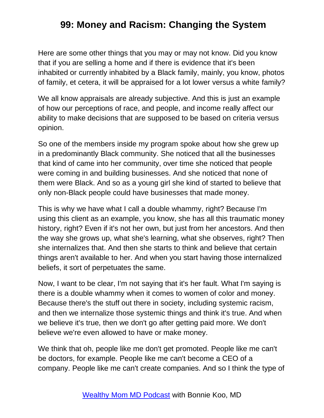Here are some other things that you may or may not know. Did you know that if you are selling a home and if there is evidence that it's been inhabited or currently inhabited by a Black family, mainly, you know, photos of family, et cetera, it will be appraised for a lot lower versus a white family?

We all know appraisals are already subjective. And this is just an example of how our perceptions of race, and people, and income really affect our ability to make decisions that are supposed to be based on criteria versus opinion.

So one of the members inside my program spoke about how she grew up in a predominantly Black community. She noticed that all the businesses that kind of came into her community, over time she noticed that people were coming in and building businesses. And she noticed that none of them were Black. And so as a young girl she kind of started to believe that only non-Black people could have businesses that made money.

This is why we have what I call a double whammy, right? Because I'm using this client as an example, you know, she has all this traumatic money history, right? Even if it's not her own, but just from her ancestors. And then the way she grows up, what she's learning, what she observes, right? Then she internalizes that. And then she starts to think and believe that certain things aren't available to her. And when you start having those internalized beliefs, it sort of perpetuates the same.

Now, I want to be clear, I'm not saying that it's her fault. What I'm saying is there is a double whammy when it comes to women of color and money. Because there's the stuff out there in society, including systemic racism, and then we internalize those systemic things and think it's true. And when we believe it's true, then we don't go after getting paid more. We don't believe we're even allowed to have or make money.

We think that oh, people like me don't get promoted. People like me can't be doctors, for example. People like me can't become a CEO of a company. People like me can't create companies. And so I think the type of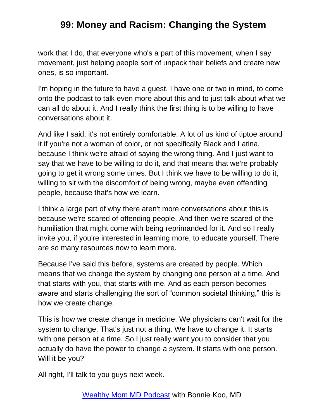work that I do, that everyone who's a part of this movement, when I say movement, just helping people sort of unpack their beliefs and create new ones, is so important.

I'm hoping in the future to have a guest, I have one or two in mind, to come onto the podcast to talk even more about this and to just talk about what we can all do about it. And I really think the first thing is to be willing to have conversations about it.

And like I said, it's not entirely comfortable. A lot of us kind of tiptoe around it if you're not a woman of color, or not specifically Black and Latina, because I think we're afraid of saying the wrong thing. And I just want to say that we have to be willing to do it, and that means that we're probably going to get it wrong some times. But I think we have to be willing to do it, willing to sit with the discomfort of being wrong, maybe even offending people, because that's how we learn.

I think a large part of why there aren't more conversations about this is because we're scared of offending people. And then we're scared of the humiliation that might come with being reprimanded for it. And so I really invite you, if you're interested in learning more, to educate yourself. There are so many resources now to learn more.

Because I've said this before, systems are created by people. Which means that we change the system by changing one person at a time. And that starts with you, that starts with me. And as each person becomes aware and starts challenging the sort of "common societal thinking," this is how we create change.

This is how we create change in medicine. We physicians can't wait for the system to change. That's just not a thing. We have to change it. It starts with one person at a time. So I just really want you to consider that you actually do have the power to change a system. It starts with one person. Will it be you?

All right, I'll talk to you guys next week.